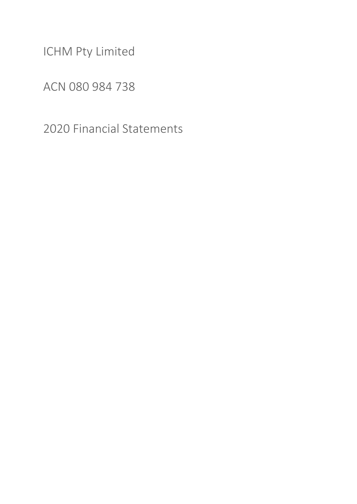ICHM Pty Limited

ACN 080 984 738

2020 Financial Statements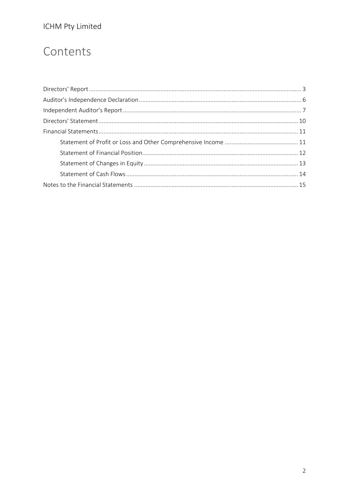# ICHM Pty Limited

# Contents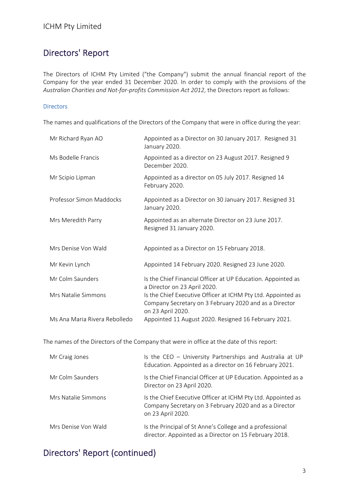# Directors' Report

The Directors of ICHM Pty Limited ("the Company") submit the annual financial report of the Company for the year ended 31 December 2020. In order to comply with the provisions of the *Australian Charities and Not‐for‐profits Commission Act 2012*, the Directors report as follows:

#### **Directors**

The names and qualifications of the Directors of the Company that were in office during the year:

| Mr Richard Ryan AO            | Appointed as a Director on 30 January 2017. Resigned 31<br>January 2020.                                                                    |
|-------------------------------|---------------------------------------------------------------------------------------------------------------------------------------------|
| Ms Bodelle Francis            | Appointed as a director on 23 August 2017. Resigned 9<br>December 2020.                                                                     |
| Mr Scipio Lipman              | Appointed as a director on 05 July 2017. Resigned 14<br>February 2020.                                                                      |
| Professor Simon Maddocks      | Appointed as a Director on 30 January 2017. Resigned 31<br>January 2020.                                                                    |
| Mrs Meredith Parry            | Appointed as an alternate Director on 23 June 2017.<br>Resigned 31 January 2020.                                                            |
| Mrs Denise Von Wald           | Appointed as a Director on 15 February 2018.                                                                                                |
| Mr Kevin Lynch                | Appointed 14 February 2020. Resigned 23 June 2020.                                                                                          |
| Mr Colm Saunders              | Is the Chief Financial Officer at UP Education. Appointed as<br>a Director on 23 April 2020.                                                |
| Mrs Natalie Simmons           | Is the Chief Executive Officer at ICHM Pty Ltd. Appointed as<br>Company Secretary on 3 February 2020 and as a Director<br>on 23 April 2020. |
| Ms Ana Maria Rivera Rebolledo | Appointed 11 August 2020. Resigned 16 February 2021.                                                                                        |

The names of the Directors of the Company that were in office at the date of this report:

| Mr Craig Jones      | Is the CEO - University Partnerships and Australia at UP<br>Education. Appointed as a director on 16 February 2021.                         |
|---------------------|---------------------------------------------------------------------------------------------------------------------------------------------|
| Mr Colm Saunders    | Is the Chief Financial Officer at UP Education. Appointed as a<br>Director on 23 April 2020.                                                |
| Mrs Natalie Simmons | Is the Chief Executive Officer at ICHM Pty Ltd. Appointed as<br>Company Secretary on 3 February 2020 and as a Director<br>on 23 April 2020. |
| Mrs Denise Von Wald | Is the Principal of St Anne's College and a professional<br>director. Appointed as a Director on 15 February 2018.                          |

# Directors' Report (continued)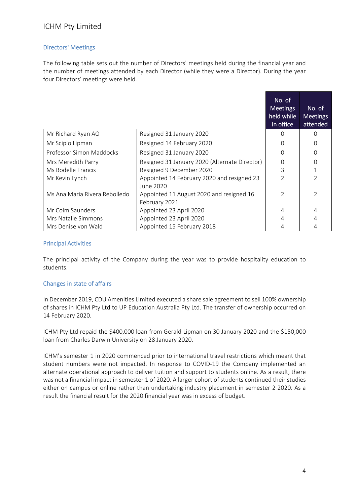#### ICHM Pty Limited

#### Directors' Meetings

The following table sets out the number of Directors' meetings held during the financial year and the number of meetings attended by each Director (while they were a Director). During the year four Directors' meetings were held.

|                               |                                                           | No. of<br><b>Meetings</b><br>held while<br>in office | No. of<br><b>Meetings</b><br>attended |
|-------------------------------|-----------------------------------------------------------|------------------------------------------------------|---------------------------------------|
| Mr Richard Ryan AO            | Resigned 31 January 2020                                  | 0                                                    | ∩                                     |
| Mr Scipio Lipman              | Resigned 14 February 2020                                 | Ω                                                    | 0                                     |
| Professor Simon Maddocks      | Resigned 31 January 2020                                  | O                                                    | $\Omega$                              |
| Mrs Meredith Parry            | Resigned 31 January 2020 (Alternate Director)             | 0                                                    | 0                                     |
| Ms Bodelle Francis            | Resigned 9 December 2020                                  | 3                                                    | $\mathbf{1}$                          |
| Mr Kevin Lynch                | Appointed 14 February 2020 and resigned 23<br>June 2020   | $\mathfrak{D}$                                       | $\mathfrak{D}$                        |
| Ms Ana Maria Rivera Rebolledo | Appointed 11 August 2020 and resigned 16<br>February 2021 | C                                                    | $\overline{2}$                        |
| Mr Colm Saunders              | Appointed 23 April 2020                                   | 4                                                    | 4                                     |
| Mrs Natalie Simmons           | Appointed 23 April 2020                                   | 4                                                    | 4                                     |
| Mrs Denise von Wald           | Appointed 15 February 2018                                |                                                      |                                       |

#### Principal Activities

The principal activity of the Company during the year was to provide hospitality education to students.

#### Changes in state of affairs

In December 2019, CDU Amenities Limited executed a share sale agreement to sell 100% ownership of shares in ICHM Pty Ltd to UP Education Australia Pty Ltd. The transfer of ownership occurred on 14 February 2020.

ICHM Pty Ltd repaid the \$400,000 loan from Gerald Lipman on 30 January 2020 and the \$150,000 loan from Charles Darwin University on 28 January 2020.

ICHM's semester 1 in 2020 commenced prior to international travel restrictions which meant that student numbers were not impacted. In response to COVID‐19 the Company implemented an alternate operational approach to deliver tuition and support to students online. As a result, there was not a financial impact in semester 1 of 2020. A larger cohort of students continued their studies either on campus or online rather than undertaking industry placement in semester 2 2020. As a result the financial result for the 2020 financial year was in excess of budget.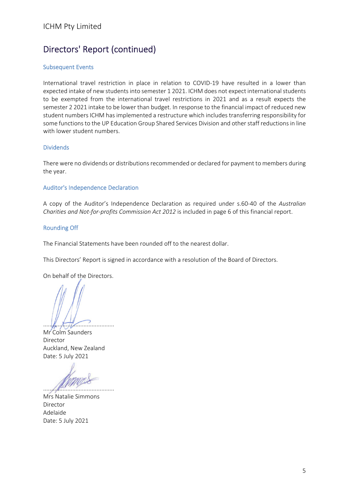# Directors' Report (continued)

#### Subsequent Events

International travel restriction in place in relation to COVID‐19 have resulted in a lower than expected intake of new students into semester 1 2021. ICHM does not expect international students to be exempted from the international travel restrictions in 2021 and as a result expects the semester 2 2021 intake to be lower than budget. In response to the financial impact of reduced new student numbers ICHM has implemented a restructure which includes transferring responsibility for some functions to the UP Education Group Shared Services Division and other staff reductions in line with lower student numbers.

#### Dividends

There were no dividends or distributions recommended or declared for payment to members during the year.

#### Auditor's Independence Declaration

A copy of the Auditor's Independence Declaration as required under s.60‐40 of the *Australian Charities and Not‐for‐profits Commission Act 2012* is included in page 6 of this financial report.

#### Rounding Off

The Financial Statements have been rounded off to the nearest dollar.

This Directors' Report is signed in accordance with a resolution of the Board of Directors.

On behalf of the Directors.

............................................

Mr Colm Saunders Director Auckland, New Zealand Date: 5 July 2021

............................................

Mrs Natalie Simmons Director Adelaide Date: 5 July 2021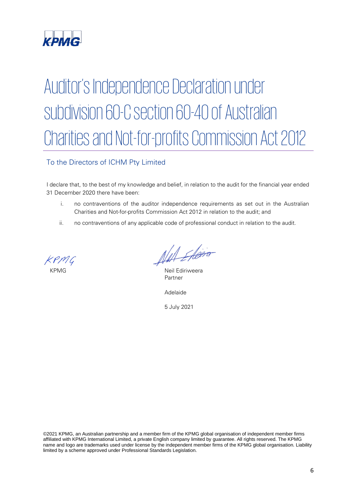

# Auditor's Independence Declaration under subdivision 60-C section 60-40 of Australian Charities and Not-for-profits Commission Act 2012

#### To the Directors of ICHM Pty Limited

I declare that, to the best of my knowledge and belief, in relation to the audit for the financial year ended 31 December 2020 there have been:

- i. no contraventions of the auditor independence requirements as set out in the Australian Charities and Not-for-profits Commission Act 2012 in relation to the audit; and
- ii. no contraventions of any applicable code of professional conduct in relation to the audit.

*PAR\_SIG\_01 PAR\_NAM\_01 PAR\_POS\_01 PAR\_DAT\_01 PAR\_CIT\_01*

KPMG Neil Ediriweera Partner

Adelaide

5 July 2021

©2021 KPMG, an Australian partnership and a member firm of the KPMG global organisation of independent member firms affiliated with KPMG International Limited, a private English company limited by guarantee. All rights reserved. The KPMG name and logo are trademarks used under license by the independent member firms of the KPMG global organisation. Liability limited by a scheme approved under Professional Standards Legislation.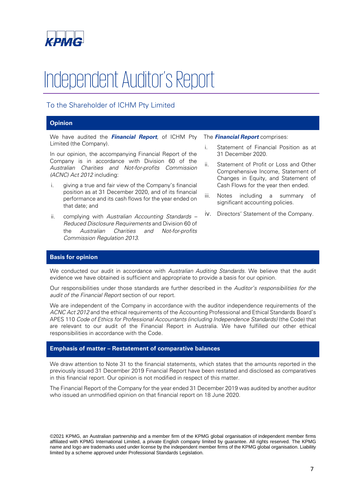

# Independent Auditor's Report

#### To the Shareholder of ICHM Pty Limited

#### **Opinion**

We have audited the **Financial Report**, of ICHM Pty Limited (the Company).

In our opinion, the accompanying Financial Report of the Company is in accordance with Division 60 of the Australian Charities and Not-for-profits Commission (ACNC) Act 2012 including:

- i. giving a true and fair view of the Company's financial position as at 31 December 2020, and of its financial performance and its cash flows for the year ended on that date; and
- complying with Australian Accounting Standards Reduced Disclosure Requirements and Division 60 of the Australian Charities and Not-for-profits Commission Regulation 2013.

The **Financial Report** comprises:

- i. Statement of Financial Position as at 31 December 2020.
- ii. Statement of Profit or Loss and Other Comprehensive Income, Statement of Changes in Equity, and Statement of Cash Flows for the year then ended.
- iii. Notes including a summary of significant accounting policies.
- iv. Directors' Statement of the Company.

#### **Basis for opinion**

We conducted our audit in accordance with Australian Auditing Standards. We believe that the audit evidence we have obtained is sufficient and appropriate to provide a basis for our opinion.

Our responsibilities under those standards are further described in the Auditor's responsibilities for the audit of the Financial Report section of our report.

We are independent of the Company in accordance with the auditor independence requirements of the ACNC Act 2012 and the ethical requirements of the Accounting Professional and Ethical Standards Board's APES 110 Code of Ethics for Professional Accountants (including Independence Standards) (the Code) that are relevant to our audit of the Financial Report in Australia. We have fulfilled our other ethical responsibilities in accordance with the Code.

#### **Emphasis of matter – Restatement of comparative balances**

We draw attention to Note 31 to the financial statements, which states that the amounts reported in the previously issued 31 December 2019 Financial Report have been restated and disclosed as comparatives in this financial report. Our opinion is not modified in respect of this matter.

The Financial Report of the Company for the year ended 31 December 2019 was audited by another auditor who issued an unmodified opinion on that financial report on 18 June 2020.

©2021 KPMG, an Australian partnership and a member firm of the KPMG global organisation of independent member firms affiliated with KPMG International Limited, a private English company limited by guarantee. All rights reserved. The KPMG name and logo are trademarks used under license by the independent member firms of the KPMG global organisation. Liability limited by a scheme approved under Professional Standards Legislation.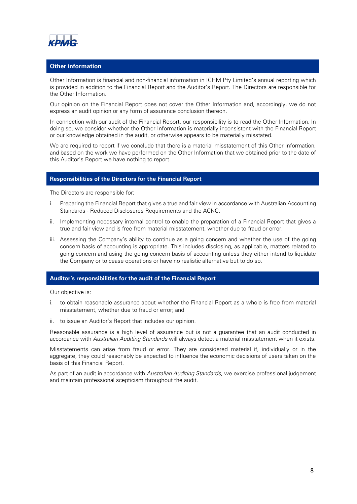

#### **Other information**

Other Information is financial and non-financial information in ICHM Pty Limited's annual reporting which is provided in addition to the Financial Report and the Auditor's Report. The Directors are responsible for the Other Information.

Our opinion on the Financial Report does not cover the Other Information and, accordingly, we do not express an audit opinion or any form of assurance conclusion thereon.

In connection with our audit of the Financial Report, our responsibility is to read the Other Information. In doing so, we consider whether the Other Information is materially inconsistent with the Financial Report or our knowledge obtained in the audit, or otherwise appears to be materially misstated.

We are required to report if we conclude that there is a material misstatement of this Other Information, and based on the work we have performed on the Other Information that we obtained prior to the date of this Auditor's Report we have nothing to report.

#### **Responsibilities of the Directors for the Financial Report**

The Directors are responsible for:

- i. Preparing the Financial Report that gives a true and fair view in accordance with Australian Accounting Standards - Reduced Disclosures Requirements and the ACNC.
- ii. Implementing necessary internal control to enable the preparation of a Financial Report that gives a true and fair view and is free from material misstatement, whether due to fraud or error.
- iii. Assessing the Company's ability to continue as a going concern and whether the use of the going concern basis of accounting is appropriate. This includes disclosing, as applicable, matters related to going concern and using the going concern basis of accounting unless they either intend to liquidate the Company or to cease operations or have no realistic alternative but to do so.

#### **Auditor's responsibilities for the audit of the Financial Report**

Our objective is:

- i. to obtain reasonable assurance about whether the Financial Report as a whole is free from material misstatement, whether due to fraud or error; and
- ii. to issue an Auditor's Report that includes our opinion.

Reasonable assurance is a high level of assurance but is not a guarantee that an audit conducted in accordance with Australian Auditing Standards will always detect a material misstatement when it exists.

Misstatements can arise from fraud or error. They are considered material if, individually or in the aggregate, they could reasonably be expected to influence the economic decisions of users taken on the basis of this Financial Report.

As part of an audit in accordance with Australian Auditing Standards, we exercise professional judgement and maintain professional scepticism throughout the audit.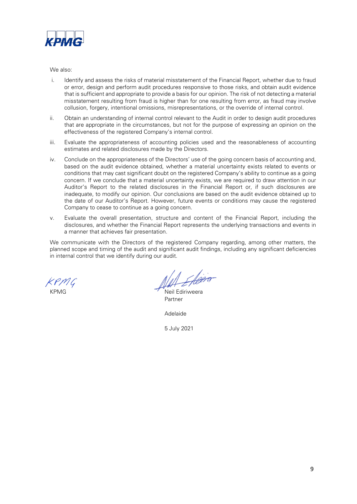

#### We also:

- i. Identify and assess the risks of material misstatement of the Financial Report, whether due to fraud or error, design and perform audit procedures responsive to those risks, and obtain audit evidence that is sufficient and appropriate to provide a basis for our opinion. The risk of not detecting a material misstatement resulting from fraud is higher than for one resulting from error, as fraud may involve collusion, forgery, intentional omissions, misrepresentations, or the override of internal control.
- ii. Obtain an understanding of internal control relevant to the Audit in order to design audit procedures that are appropriate in the circumstances, but not for the purpose of expressing an opinion on the effectiveness of the registered Company's internal control.
- iii. Evaluate the appropriateness of accounting policies used and the reasonableness of accounting estimates and related disclosures made by the Directors.
- iv. Conclude on the appropriateness of the Directors' use of the going concern basis of accounting and, based on the audit evidence obtained, whether a material uncertainty exists related to events or conditions that may cast significant doubt on the registered Company's ability to continue as a going concern. If we conclude that a material uncertainty exists, we are required to draw attention in our Auditor's Report to the related disclosures in the Financial Report or, if such disclosures are inadequate, to modify our opinion. Our conclusions are based on the audit evidence obtained up to the date of our Auditor's Report. However, future events or conditions may cause the registered Company to cease to continue as a going concern.
- v. Evaluate the overall presentation, structure and content of the Financial Report, including the disclosures, and whether the Financial Report represents the underlying transactions and events in a manner that achieves fair presentation.

We communicate with the Directors of the registered Company regarding, among other matters, the planned scope and timing of the audit and significant audit findings, including any significant deficiencies in internal control that we identify during our audit.

*PAR\_SIG\_01 PAR\_NAM\_01 PAR\_POS\_01 PAR\_DAT\_01 PAR\_CIT\_01*

KPMG Neil Ediriweera Partner

Adelaide

5 July 2021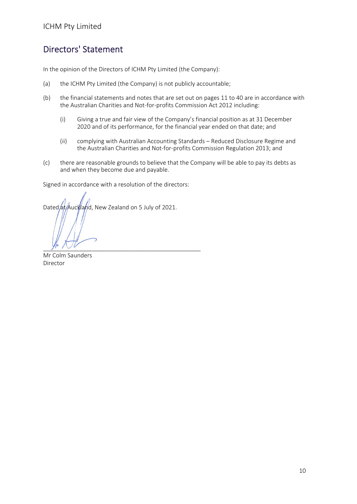### Directors' Statement

In the opinion of the Directors of ICHM Pty Limited (the Company):

- (a) the ICHM Pty Limited (the Company) is not publicly accountable;
- (b) the financial statements and notes that are set out on pages 11 to 40 are in accordance with the Australian Charities and Not-for-profits Commission Act 2012 including:
	- (i) Giving a true and fair view of the Company's financial position as at 31 December 2020 and of its performance, for the financial year ended on that date; and
	- (ii) complying with Australian Accounting Standards Reduced Disclosure Regime and the Australian Charities and Not‐for‐profits Commission Regulation 2013; and
- (c) there are reasonable grounds to believe that the Company will be able to pay its debts as and when they become due and payable.

Signed in accordance with a resolution of the directors:

Dated at Auckland, New Zealand on 5 July of 2021.

 $y \cdot \sqrt{2}$ 

Mr Colm Saunders Director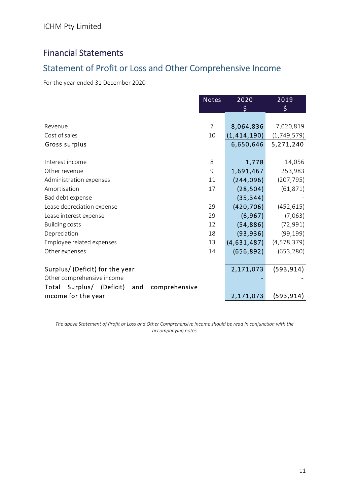# Financial Statements

# Statement of Profit or Loss and Other Comprehensive Income

For the year ended 31 December 2020

|                                                     | <b>Notes</b> | 2020        | 2019        |
|-----------------------------------------------------|--------------|-------------|-------------|
|                                                     |              | \$          | \$          |
|                                                     |              |             |             |
| Revenue                                             | 7            | 8,064,836   | 7,020,819   |
| Cost of sales                                       | 10           | (1,414,190) | (1,749,579) |
| Gross surplus                                       |              | 6,650,646   | 5,271,240   |
|                                                     |              |             |             |
| Interest income                                     | 8            | 1,778       | 14,056      |
| Other revenue                                       | 9            | 1,691,467   | 253,983     |
| Administration expenses                             | 11           | (244, 096)  | (207, 795)  |
| Amortisation                                        | 17           | (28, 504)   | (61, 871)   |
| Bad debt expense                                    |              | (35, 344)   |             |
| Lease depreciation expense                          | 29           | (420, 706)  | (452, 615)  |
| Lease interest expense                              | 29           | (6, 967)    | (7,063)     |
| <b>Building costs</b>                               | 12           | (54, 886)   | (72, 991)   |
| Depreciation                                        | 18           | (93, 936)   | (99, 199)   |
| Employee related expenses                           | 13           | (4,631,487) | (4,578,379) |
| Other expenses                                      | 14           | (656, 892)  | (653, 280)  |
|                                                     |              |             |             |
| Surplus/ (Deficit) for the year                     |              | 2,171,073   | (593, 914)  |
| Other comprehensive income                          |              |             |             |
| Surplus/ (Deficit)<br>Total<br>comprehensive<br>and |              |             |             |
| income for the year                                 |              | 2,171,073   | (593, 914)  |

The above Statement of Profit or Loss and Other Comprehensive Income should be read in conjunction with the *accompanying notes*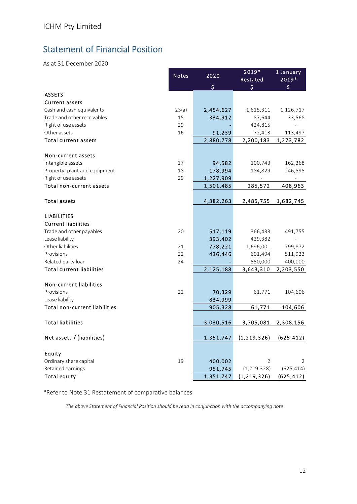# Statement of Financial Position

As at 31 December 2020

|                                      | <b>Notes</b> | $\overline{2020}$ | 2019*<br>Restated | 1 January<br>2019* |
|--------------------------------------|--------------|-------------------|-------------------|--------------------|
|                                      |              | \$                | \$                | \$                 |
| <b>ASSETS</b>                        |              |                   |                   |                    |
| <b>Current assets</b>                |              |                   |                   |                    |
| Cash and cash equivalents            | 23(a)        | 2,454,627         | 1,615,311         | 1,126,717          |
| Trade and other receivables          | 15           | 334,912           | 87,644            | 33,568             |
| Right of use assets                  | 29           |                   | 424,815           |                    |
| Other assets                         | 16           | 91,239            | 72,413            | 113,497            |
| Total current assets                 |              | 2,880,778         | 2,200,183         | 1,273,782          |
| Non-current assets                   |              |                   |                   |                    |
| Intangible assets                    | 17           | 94,582            | 100,743           | 162,368            |
| Property, plant and equipment        | 18           | 178,994           | 184,829           | 246,595            |
| Right of use assets                  | 29           | 1,227,909         |                   |                    |
| Total non-current assets             |              | 1,501,485         | 285,572           | 408,963            |
|                                      |              |                   |                   |                    |
| <b>Total assets</b>                  |              | 4,382,263         | 2,485,755         | 1,682,745          |
| <b>LIABILITIES</b>                   |              |                   |                   |                    |
| <b>Current liabilities</b>           |              |                   |                   |                    |
| Trade and other payables             | 20           | 517,119           | 366,433           | 491,755            |
| Lease liability                      |              | 393,402           | 429,382           |                    |
| Other liabilities                    | 21           | 778,221           | 1,696,001         | 799,872            |
| Provisions                           | 22           | 436,446           | 601,494           | 511,923            |
| Related party loan                   | 24           |                   | 550,000           | 400,000            |
| <b>Total current liabilities</b>     |              | 2,125,188         | 3,643,310         | 2,203,550          |
| Non-current liabilities              |              |                   |                   |                    |
| Provisions                           | 22           | 70,329            | 61,771            | 104,606            |
| Lease liability                      |              | 834,999           |                   |                    |
| <b>Total non-current liabilities</b> |              | 905,328           | 61,771            | 104,606            |
|                                      |              |                   |                   |                    |
| <b>Total liabilities</b>             |              | 3,030,516         | 3,705,081         | 2,308,156          |
| Net assets / (liabilities)           |              | 1,351,747         | (1, 219, 326)     | (625, 412)         |
| Equity                               |              |                   |                   |                    |
| Ordinary share capital               | 19           | 400,002           | 2                 | 2                  |
| Retained earnings                    |              | 951,745           | (1, 219, 328)     | (625, 414)         |
| <b>Total equity</b>                  |              | 1,351,747         | (1, 219, 326)     | (625, 412)         |

\*Refer to Note 31 Restatement of comparative balances

*The above Statement of Financial Position should be read in conjunction with the accompanying note*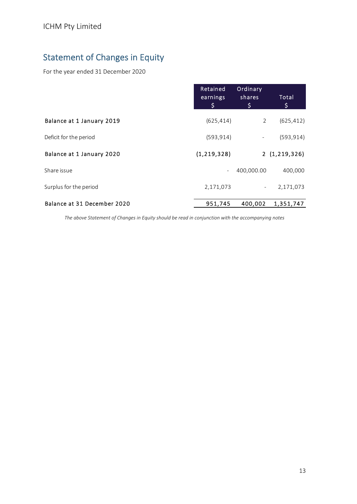# Statement of Changes in Equity

For the year ended 31 December 2020

|                             | Retained<br>earnings<br>\$ | Ordinary<br>shares<br>\$ | Total<br>\$  |
|-----------------------------|----------------------------|--------------------------|--------------|
| Balance at 1 January 2019   | (625, 414)                 | $\overline{2}$           | (625, 412)   |
| Deficit for the period      | (593, 914)                 | $\overline{\phantom{0}}$ | (593, 914)   |
| Balance at 1 January 2020   | (1, 219, 328)              |                          | 2(1,219,326) |
| Share issue                 | $\overline{\phantom{a}}$   | 400,000.00               | 400,000      |
| Surplus for the period      | 2,171,073                  | $\overline{\phantom{a}}$ | 2,171,073    |
| Balance at 31 December 2020 | 951,745                    | 400,002                  | 1,351,747    |

*The above Statement of Changes in Equity should be read in conjunction with the accompanying notes*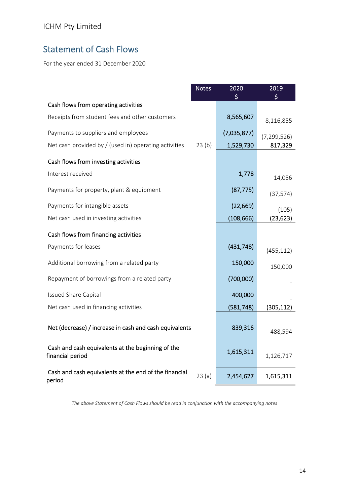# Statement of Cash Flows

For the year ended 31 December 2020

|                                                                       | <b>Notes</b> | 2020        | 2019          |
|-----------------------------------------------------------------------|--------------|-------------|---------------|
| Cash flows from operating activities                                  |              |             |               |
| Receipts from student fees and other customers                        |              | 8,565,607   | 8,116,855     |
| Payments to suppliers and employees                                   |              | (7,035,877) | (7, 299, 526) |
| Net cash provided by / (used in) operating activities                 | 23(b)        | 1,529,730   | 817,329       |
| Cash flows from investing activities                                  |              |             |               |
| Interest received                                                     |              | 1,778       | 14,056        |
| Payments for property, plant & equipment                              |              | (87, 775)   | (37, 574)     |
| Payments for intangible assets                                        |              | (22, 669)   | (105)         |
| Net cash used in investing activities                                 |              | (108, 666)  | (23, 623)     |
| Cash flows from financing activities                                  |              |             |               |
| Payments for leases                                                   |              | (431, 748)  | (455, 112)    |
| Additional borrowing from a related party                             |              | 150,000     | 150,000       |
| Repayment of borrowings from a related party                          |              | (700,000)   |               |
| <b>Issued Share Capital</b>                                           |              | 400,000     |               |
| Net cash used in financing activities                                 |              | (581, 748)  | (305, 112)    |
| Net (decrease) / increase in cash and cash equivalents                |              | 839,316     | 488,594       |
| Cash and cash equivalents at the beginning of the<br>financial period |              | 1,615,311   | 1,126,717     |
| Cash and cash equivalents at the end of the financial<br>period       | 23(a)        | 2,454,627   | 1,615,311     |

*The above Statement of Cash Flows should be read in conjunction with the accompanying notes*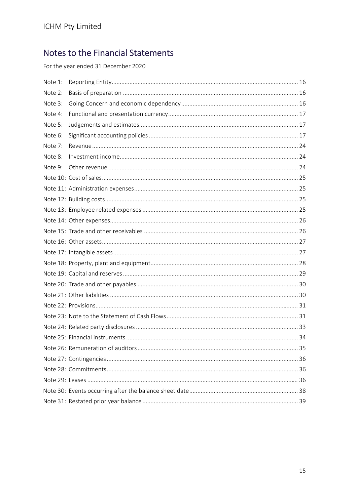For the year ended 31 December 2020

| Note 1: |  |
|---------|--|
| Note 2: |  |
| Note 3: |  |
| Note 4: |  |
| Note 5: |  |
| Note 6: |  |
| Note 7: |  |
| Note 8: |  |
|         |  |
|         |  |
|         |  |
|         |  |
|         |  |
|         |  |
|         |  |
|         |  |
|         |  |
|         |  |
|         |  |
|         |  |
|         |  |
|         |  |
|         |  |
|         |  |
|         |  |
|         |  |
|         |  |
|         |  |
|         |  |
|         |  |
|         |  |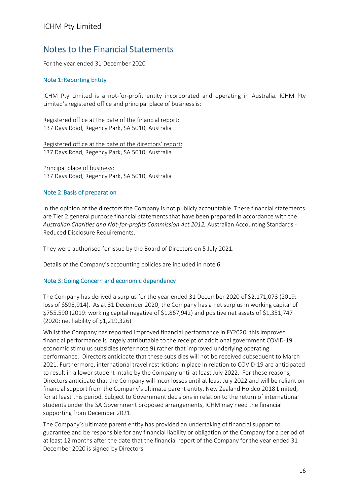For the year ended 31 December 2020

#### Note 1:Reporting Entity

ICHM Pty Limited is a not-for-profit entity incorporated and operating in Australia. ICHM Pty Limited's registered office and principal place of business is:

Registered office at the date of the financial report: 137 Days Road, Regency Park, SA 5010, Australia

Registered office at the date of the directors' report: 137 Days Road, Regency Park, SA 5010, Australia

Principal place of business: 137 Days Road, Regency Park, SA 5010, Australia

#### Note 2:Basis of preparation

In the opinion of the directors the Company is not publicly accountable. These financial statements are Tier 2 general purpose financial statements that have been prepared in accordance with the *Australian Charities and Not‐for‐profits Commission Act 2012,* Australian Accounting Standards ‐ Reduced Disclosure Requirements.

They were authorised for issue by the Board of Directors on 5 July 2021.

Details of the Company's accounting policies are included in note 6.

#### Note 3:Going Concern and economic dependency

The Company has derived a surplus for the year ended 31 December 2020 of \$2,171,073 (2019: loss of \$593,914). As at 31 December 2020, the Company has a net surplus in working capital of \$755,590 (2019: working capital negative of \$1,867,942) and positive net assets of \$1,351,747 (2020: net liability of \$1,219,326).

Whilst the Company has reported improved financial performance in FY2020, this improved financial performance is largely attributable to the receipt of additional government COVID‐19 economic stimulus subsidies (refer note 9) rather that improved underlying operating performance. Directors anticipate that these subsidies will not be received subsequent to March 2021. Furthermore, international travel restrictions in place in relation to COVID‐19 are anticipated to result in a lower student intake by the Company until at least July 2022. For these reasons, Directors anticipate that the Company will incur losses until at least July 2022 and will be reliant on financial support from the Company's ultimate parent entity, New Zealand Holdco 2018 Limited, for at least this period. Subject to Government decisions in relation to the return of international students under the SA Government proposed arrangements, ICHM may need the financial supporting from December 2021.

The Company's ultimate parent entity has provided an undertaking of financial support to guarantee and be responsible for any financial liability or obligation of the Company for a period of at least 12 months after the date that the financial report of the Company for the year ended 31 December 2020 is signed by Directors.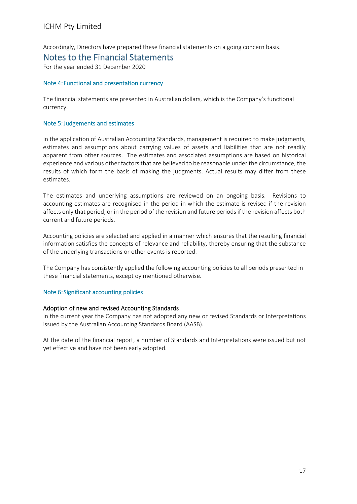Accordingly, Directors have prepared these financial statements on a going concern basis.

#### Notes to the Financial Statements

For the year ended 31 December 2020

#### Note 4:Functional and presentation currency

The financial statements are presented in Australian dollars, which is the Company's functional currency.

#### Note 5:Judgements and estimates

In the application of Australian Accounting Standards, management is required to make judgments, estimates and assumptions about carrying values of assets and liabilities that are not readily apparent from other sources. The estimates and associated assumptions are based on historical experience and various other factors that are believed to be reasonable under the circumstance, the results of which form the basis of making the judgments. Actual results may differ from these estimates.

The estimates and underlying assumptions are reviewed on an ongoing basis. Revisions to accounting estimates are recognised in the period in which the estimate is revised if the revision affects only that period, or in the period of the revision and future periods if the revision affects both current and future periods.

Accounting policies are selected and applied in a manner which ensures that the resulting financial information satisfies the concepts of relevance and reliability, thereby ensuring that the substance of the underlying transactions or other events is reported.

The Company has consistently applied the following accounting policies to all periods presented in these financial statements, except oy mentioned otherwise.

#### Note 6:Significant accounting policies

#### Adoption of new and revised Accounting Standards

In the current year the Company has not adopted any new or revised Standards or Interpretations issued by the Australian Accounting Standards Board (AASB).

At the date of the financial report, a number of Standards and Interpretations were issued but not yet effective and have not been early adopted.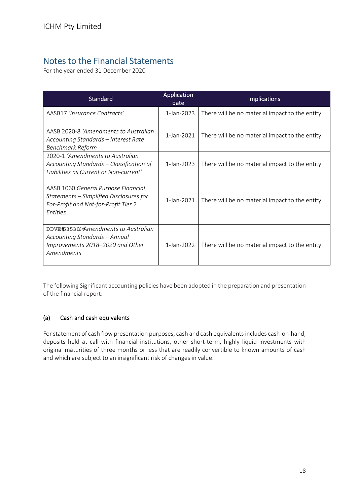For the year ended 31 December 2020

| <b>Standard</b>                                                                                                                                         | Application<br>date | <b>Implications</b>                            |
|---------------------------------------------------------------------------------------------------------------------------------------------------------|---------------------|------------------------------------------------|
| AASB17 'Insurance Contracts'                                                                                                                            | 1-Jan-2023          | There will be no material impact to the entity |
| AASB 2020-8 'Amendments to Australian<br>Accounting Standards - Interest Rate<br><b>Benchmark Reform</b>                                                | 1-Jan-2021          | There will be no material impact to the entity |
| 2020-1 'Amendments to Australian<br>Accounting Standards – Classification of<br>Liabilities as Current or Non-current'                                  | 1-Jan-2023          | There will be no material impact to the entity |
| AASB 1060 General Purpose Financial<br>Statements - Simplified Disclosures for<br>For-Profit and Not-for-Profit Tier 2<br><b><i><u>Entities</u></i></b> | 1-Jan-2021          | There will be no material impact to the entity |
| DDVE#35306#mendments to Australian<br>Accounting Standards - Annual<br>Improvements 2018-2020 and Other<br>Amendments                                   | 1-Jan-2022          | There will be no material impact to the entity |

The following Significant accounting policies have been adopted in the preparation and presentation of the financial report:

#### (a) Cash and cash equivalents

For statement of cash flow presentation purposes, cash and cash equivalents includes cash-on-hand, deposits held at call with financial institutions, other short-term, highly liquid investments with original maturities of three months or less that are readily convertible to known amounts of cash and which are subject to an insignificant risk of changes in value.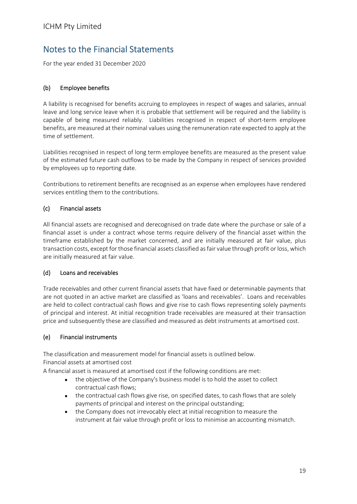For the year ended 31 December 2020

#### (b) Employee benefits

A liability is recognised for benefits accruing to employees in respect of wages and salaries, annual leave and long service leave when it is probable that settlement will be required and the liability is capable of being measured reliably. Liabilities recognised in respect of short-term employee benefits, are measured at their nominal values using the remuneration rate expected to apply at the time of settlement.

Liabilities recognised in respect of long term employee benefits are measured as the present value of the estimated future cash outflows to be made by the Company in respect of services provided by employees up to reporting date.

Contributions to retirement benefits are recognised as an expense when employees have rendered services entitling them to the contributions.

#### (c) Financial assets

All financial assets are recognised and derecognised on trade date where the purchase or sale of a financial asset is under a contract whose terms require delivery of the financial asset within the timeframe established by the market concerned, and are initially measured at fair value, plus transaction costs, except for those financial assets classified asfair value through profit or loss, which are initially measured at fair value.

#### (d) Loans and receivables

Trade receivables and other current financial assets that have fixed or determinable payments that are not quoted in an active market are classified as 'loans and receivables'. Loans and receivables are held to collect contractual cash flows and give rise to cash flows representing solely payments of principal and interest. At initial recognition trade receivables are measured at their transaction price and subsequently these are classified and measured as debt instruments at amortised cost.

#### (e) Financial instruments

The classification and measurement model for financial assets is outlined below. Financial assets at amortised cost

A financial asset is measured at amortised cost if the following conditions are met:

- the objective of the Company's business model is to hold the asset to collect contractual cash flows;
- the contractual cash flows give rise, on specified dates, to cash flows that are solely payments of principal and interest on the principal outstanding;
- the Company does not irrevocably elect at initial recognition to measure the instrument at fair value through profit or loss to minimise an accounting mismatch.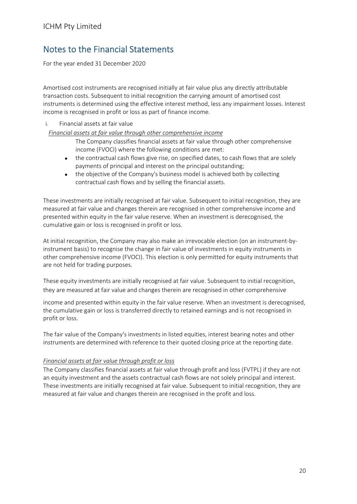For the year ended 31 December 2020

Amortised cost instruments are recognised initially at fair value plus any directly attributable transaction costs. Subsequent to initial recognition the carrying amount of amortised cost instruments is determined using the effective interest method, less any impairment losses. Interest income is recognised in profit or loss as part of finance income.

i. Financial assets at fair value

*Financial assets at fair value through other comprehensive income*

- The Company classifies financial assets at fair value through other comprehensive income (FVOCI) where the following conditions are met:
- the contractual cash flows give rise, on specified dates, to cash flows that are solely payments of principal and interest on the principal outstanding;
- the objective of the Company's business model is achieved both by collecting contractual cash flows and by selling the financial assets.

These investments are initially recognised at fair value. Subsequent to initial recognition, they are measured at fair value and changes therein are recognised in other comprehensive income and presented within equity in the fair value reserve. When an investment is derecognised, the cumulative gain or loss is recognised in profit or loss.

At initial recognition, the Company may also make an irrevocable election (on an instrument‐by‐ instrument basis) to recognise the change in fair value of investments in equity instruments in other comprehensive income (FVOCI). This election is only permitted for equity instruments that are not held for trading purposes.

These equity investments are initially recognised at fair value. Subsequent to initial recognition, they are measured at fair value and changes therein are recognised in other comprehensive

income and presented within equity in the fair value reserve. When an investment is derecognised, the cumulative gain or loss is transferred directly to retained earnings and is not recognised in profit or loss.

The fair value of the Company's investments in listed equities, interest bearing notes and other instruments are determined with reference to their quoted closing price at the reporting date.

#### *Financial assets at fair value through profit or loss*

The Company classifies financial assets at fair value through profit and loss (FVTPL) if they are not an equity investment and the assets contractual cash flows are not solely principal and interest. These investments are initially recognised at fair value. Subsequent to initial recognition, they are measured at fair value and changes therein are recognised in the profit and loss.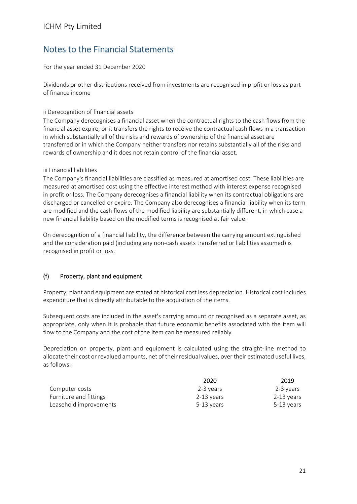For the year ended 31 December 2020

Dividends or other distributions received from investments are recognised in profit or loss as part of finance income

#### ii Derecognition of financial assets

The Company derecognises a financial asset when the contractual rights to the cash flows from the financial asset expire, or it transfers the rights to receive the contractual cash flows in a transaction in which substantially all of the risks and rewards of ownership of the financial asset are transferred or in which the Company neither transfers nor retains substantially all of the risks and rewards of ownership and it does not retain control of the financial asset.

#### iii Financial liabilities

The Company's financial liabilities are classified as measured at amortised cost. These liabilities are measured at amortised cost using the effective interest method with interest expense recognised in profit or loss. The Company derecognises a financial liability when its contractual obligations are discharged or cancelled or expire. The Company also derecognises a financial liability when its term are modified and the cash flows of the modified liability are substantially different, in which case a new financial liability based on the modified terms is recognised at fair value.

On derecognition of a financial liability, the difference between the carrying amount extinguished and the consideration paid (including any non-cash assets transferred or liabilities assumed) is recognised in profit or loss.

#### (f) Property, plant and equipment

Property, plant and equipment are stated at historical cost less depreciation. Historical cost includes expenditure that is directly attributable to the acquisition of the items.

Subsequent costs are included in the asset's carrying amount or recognised as a separate asset, as appropriate, only when it is probable that future economic benefits associated with the item will flow to the Company and the cost of the item can be measured reliably.

Depreciation on property, plant and equipment is calculated using the straight-line method to allocate their cost or revalued amounts, net of their residual values, over their estimated useful lives, as follows:

|                        | 2020       | 2019       |
|------------------------|------------|------------|
| Computer costs         | 2-3 vears  | 2-3 years  |
| Furniture and fittings | 2-13 vears | 2-13 vears |
| Leasehold improvements | 5-13 vears | 5-13 vears |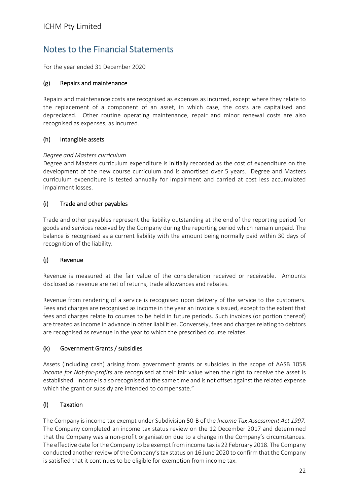For the year ended 31 December 2020

#### (g) Repairs and maintenance

Repairs and maintenance costs are recognised as expenses as incurred, except where they relate to the replacement of a component of an asset, in which case, the costs are capitalised and depreciated. Other routine operating maintenance, repair and minor renewal costs are also recognised as expenses, as incurred.

#### (h) Intangible assets

#### *Degree and Masters curriculum*

Degree and Masters curriculum expenditure is initially recorded as the cost of expenditure on the development of the new course curriculum and is amortised over 5 years. Degree and Masters curriculum expenditure is tested annually for impairment and carried at cost less accumulated impairment losses.

#### (i) Trade and other payables

Trade and other payables represent the liability outstanding at the end of the reporting period for goods and services received by the Company during the reporting period which remain unpaid. The balance is recognised as a current liability with the amount being normally paid within 30 days of recognition of the liability.

#### (j) Revenue

Revenue is measured at the fair value of the consideration received or receivable. Amounts disclosed as revenue are net of returns, trade allowances and rebates.

Revenue from rendering of a service is recognised upon delivery of the service to the customers. Fees and charges are recognised as income in the year an invoice is issued, except to the extent that fees and charges relate to courses to be held in future periods. Such invoices (or portion thereof) are treated as income in advance in other liabilities. Conversely, fees and charges relating to debtors are recognised as revenue in the year to which the prescribed course relates.

#### (k) Government Grants / subsidies

Assets (including cash) arising from government grants or subsidies in the scope of AASB 1058 *Income for Not‐for‐profits* are recognised at their fair value when the right to receive the asset is established. Income is also recognised at the same time and is not offset against the related expense which the grant or subsidy are intended to compensate."

#### (l) Taxation

The Company is income tax exempt under Subdivision 50‐B of the *Income Tax Assessment Act 1997.* The Company completed an income tax status review on the 12 December 2017 and determined that the Company was a non‐profit organisation due to a change in the Company's circumstances. The effective date for the Company to be exempt from income tax is 22 February 2018. The Company conducted another review of the Company'stax status on 16 June 2020 to confirm that the Company is satisfied that it continues to be eligible for exemption from income tax.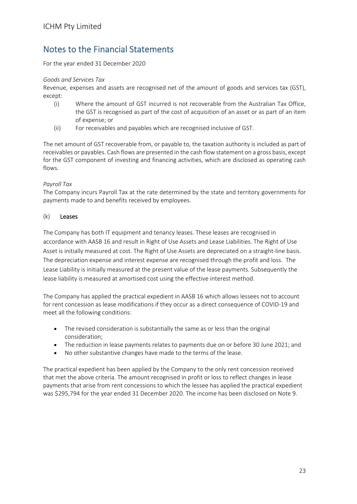For the year ended 31 December 2020

#### *Goods and Services Tax*

Revenue, expenses and assets are recognised net of the amount of goods and services tax (GST), except:

- (i) Where the amount of GST incurred is not recoverable from the Australian Tax Office, the GST is recognised as part of the cost of acquisition of an asset or as part of an item of expense; or
- (ii) For receivables and payables which are recognised inclusive of GST.

The net amount of GST recoverable from, or payable to, the taxation authority is included as part of receivables or payables. Cash flows are presented in the cash flow statement on a gross basis, except for the GST component of investing and financing activities, which are disclosed as operating cash flows.

#### *Payroll Tax*

The Company incurs Payroll Tax at the rate determined by the state and territory governments for payments made to and benefits received by employees.

#### (k) Leases

The Company has both IT equipment and tenancy leases. These leases are recognised in accordance with AASB 16 and result in Right of Use Assets and Lease Liabilities. The Right of Use Asset is initially measured at cost. The Right of Use Assets are depreciated on a straight‐line basis. The depreciation expense and interest expense are recognised through the profit and loss. The Lease Liability is initially measured at the present value of the lease payments. Subsequently the lease liability is measured at amortised cost using the effective interest method.

The Company has applied the practical expedient in AASB 16 which allows lessees not to account for rent concession as lease modifications if they occur as a direct consequence of COVID‐19 and meet all the following conditions:

- The revised consideration is substantially the same as or less than the original consideration;
- The reduction in lease payments relates to payments due on or before 30 June 2021; and
- No other substantive changes have made to the terms of the lease.

The practical expedient has been applied by the Company to the only rent concession received that met the above criteria. The amount recognised in profit or loss to reflect changes in lease payments that arise from rent concessions to which the lessee has applied the practical expedient was \$295,794 for the year ended 31 December 2020. The income has been disclosed on Note 9.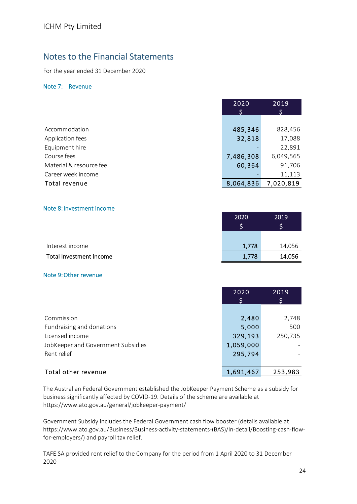For the year ended 31 December 2020

#### Note 7: Revenue

|                         | 2020<br>S | 2019<br>S |
|-------------------------|-----------|-----------|
|                         |           |           |
| Accommodation           | 485,346   | 828,456   |
| Application fees        | 32,818    | 17,088    |
| Equipment hire          |           | 22,891    |
| Course fees             | 7,486,308 | 6,049,565 |
| Material & resource fee | 60,364    | 91,706    |
| Career week income      |           | 11,113    |
| Total revenue           | 8,064,836 | 7,020,819 |

#### Note 8:Investment income

|                         | 2020  | 2019   |
|-------------------------|-------|--------|
|                         |       |        |
|                         |       |        |
| Interest income         | 1,778 | 14,056 |
| Total Investment income | 1,778 | 14,056 |

#### Note 9:Other revenue

|                                    | 2020      | 2019    |
|------------------------------------|-----------|---------|
|                                    |           | \$      |
|                                    |           |         |
| Commission                         | 2,480     | 2,748   |
| Fundraising and donations          | 5,000     | 500     |
| Licensed income                    | 329,193   | 250,735 |
| JobKeeper and Government Subsidies | 1,059,000 |         |
| Rent relief                        | 295,794   |         |
|                                    |           |         |
| Total other revenue                | 1,691,467 | 253,983 |

The Australian Federal Government established the JobKeeper Payment Scheme as a subsidy for business significantly affected by COVID‐19. Details of the scheme are available at https://www.ato.gov.au/general/jobkeeper‐payment/

Government Subsidy includes the Federal Government cash flow booster (details available at https://www.ato.gov.au/Business/Business‐activity‐statements‐(BAS)/In‐detail/Boosting‐cash‐flow‐ for-employers/) and payroll tax relief.

TAFE SA provided rent relief to the Company for the period from 1 April 2020 to 31 December 2020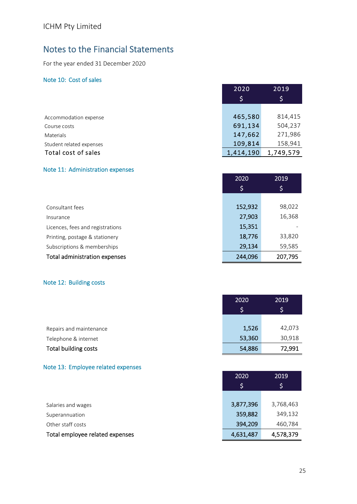For the year ended 31 December 2020

#### Note 10: Cost of sales

|                          | 2020      | 2019      |
|--------------------------|-----------|-----------|
|                          | Ş,        | \$        |
|                          |           |           |
| Accommodation expense    | 465,580   | 814,415   |
| Course costs             | 691,134   | 504,237   |
| Materials                | 147,662   | 271,986   |
| Student related expenses | 109,814   | 158,941   |
| Total cost of sales      | 1,414,190 | 1,749,579 |

#### Note 11: Administration expenses

|                                  | 2020    | 2019    |
|----------------------------------|---------|---------|
|                                  | \$      | \$      |
|                                  |         |         |
| Consultant fees                  | 152,932 | 98,022  |
| Insurance                        | 27,903  | 16,368  |
| Licences, fees and registrations | 15,351  |         |
| Printing, postage & stationery   | 18,776  | 33,820  |
| Subscriptions & memberships      | 29,134  | 59,585  |
| Total administration expenses    | 244,096 | 207,795 |

#### Note 12: Building costs

|                         | 2020   | 2019   |
|-------------------------|--------|--------|
|                         |        | 'S,    |
|                         |        |        |
| Repairs and maintenance | 1,526  | 42,073 |
| Telephone & internet    | 53,360 | 30,918 |
| Total building costs    | 54,886 | 72,991 |

#### Note 13: Employee related expenses

|                                 | 2020      | 2019      |
|---------------------------------|-----------|-----------|
|                                 | Ş         | \$        |
|                                 |           |           |
| Salaries and wages              | 3,877,396 | 3,768,463 |
| Superannuation                  | 359,882   | 349,132   |
| Other staff costs               | 394,209   | 460,784   |
| Total employee related expenses | 4,631,487 | 4,578,379 |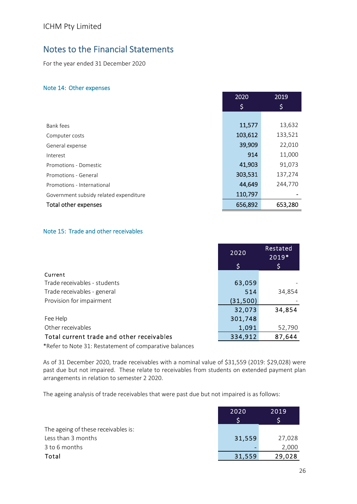For the year ended 31 December 2020

#### Note 14: Other expenses

|                                        | 2020    | 2019    |
|----------------------------------------|---------|---------|
|                                        | \$      | \$      |
|                                        |         |         |
| Bank fees                              | 11,577  | 13,632  |
| Computer costs                         | 103,612 | 133,521 |
| General expense                        | 39,909  | 22,010  |
| Interest                               | 914     | 11,000  |
| Promotions - Domestic                  | 41,903  | 91,073  |
| Promotions - General                   | 303,531 | 137,274 |
| Promotions - International             | 44,649  | 244,770 |
| Government subsidy related expenditure | 110,797 |         |
| Total other expenses                   | 656,892 | 653,280 |

#### Note 15: Trade and other receivables

|                                                        | 2020      | Restated<br>2019* |
|--------------------------------------------------------|-----------|-------------------|
|                                                        | \$        | Ş                 |
| Current                                                |           |                   |
| Trade receivables - students                           | 63,059    |                   |
| Trade receivables - general                            | 514       | 34,854            |
| Provision for impairment                               | (31, 500) |                   |
|                                                        | 32,073    | 34,854            |
| Fee Help                                               | 301,748   |                   |
| Other receivables                                      | 1,091     | 52,790            |
| Total current trade and other receivables              | 334,912   | 87,644            |
| *Defer to Note 21, Bestatement of comparative balances |           |                   |

\*Refer to Note 31: Restatement of comparative balances

As of 31 December 2020, trade receivables with a nominal value of \$31,559 (2019: \$29,028) were past due but not impaired. These relate to receivables from students on extended payment plan arrangements in relation to semester 2 2020.

The ageing analysis of trade receivables that were past due but not impaired is as follows:

|                                     | 2020   | 2019   |
|-------------------------------------|--------|--------|
|                                     |        |        |
| The ageing of these receivables is: |        |        |
| Less than 3 months                  | 31,559 | 27,028 |
| 3 to 6 months                       |        | 2,000  |
| Total                               | 31,559 | 29,028 |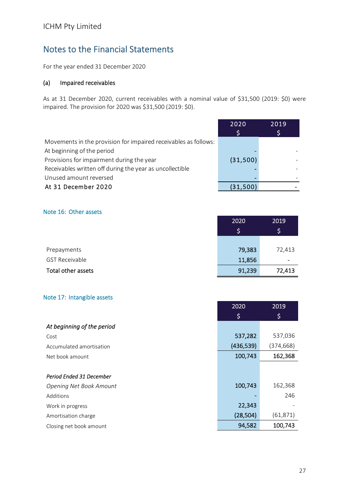For the year ended 31 December 2020

#### (a) Impaired receivables

As at 31 December 2020, current receivables with a nominal value of \$31,500 (2019: \$0) were impaired. The provision for 2020 was \$31,500 (2019: \$0).

|                                                                 | 2020     | 2019 |
|-----------------------------------------------------------------|----------|------|
|                                                                 |          |      |
| Movements in the provision for impaired receivables as follows: |          |      |
| At beginning of the period                                      |          |      |
| Provisions for impairment during the year                       | (31,500) |      |
| Receivables written off during the year as uncollectible        |          |      |
| Unused amount reversed                                          |          |      |
| At 31 December 2020                                             | (31,500) |      |

#### Note 16: Other assets

|                       | 2020   | 2019   |
|-----------------------|--------|--------|
|                       | \$     | \$     |
| Prepayments           | 79,383 | 72,413 |
| <b>GST Receivable</b> | 11,856 | -      |
| Total other assets    | 91,239 | 72,413 |

#### Note 17: Intangible assets

|                                | \$        | \$        |
|--------------------------------|-----------|-----------|
| At beginning of the period     |           |           |
| Cost                           | 537,282   | 537,036   |
| Accumulated amortisation       | (436,539) | (374,668) |
| Net book amount                | 100,743   | 162,368   |
|                                |           |           |
| Period Ended 31 December       |           |           |
| <b>Opening Net Book Amount</b> | 100,743   | 162,368   |
| Additions                      |           | 246       |
| Work in progress               | 22,343    |           |
| Amortisation charge            | (28, 504) | (61, 871) |
| Closing net book amount        | 94,582    | 100,743   |

2020 2019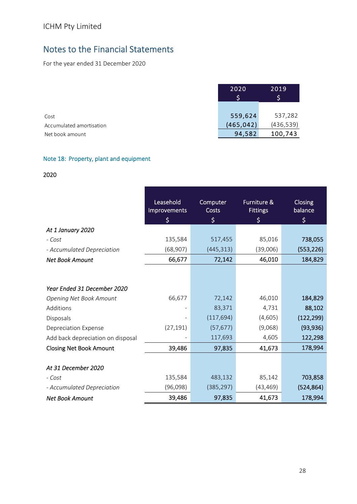For the year ended 31 December 2020

|                          | 2020       | 2019       |
|--------------------------|------------|------------|
|                          |            |            |
| Cost                     | 559,624    | 537,282    |
| Accumulated amortisation | (465, 042) | (436, 539) |
| Net book amount          | 94,582     | 100,743    |

#### Note 18: Property, plant and equipment

#### 2020

|                                   | Leasehold          | Computer    | <b>Furniture &amp;</b> | Closing<br>balance |
|-----------------------------------|--------------------|-------------|------------------------|--------------------|
|                                   | Improvements<br>\$ | Costs<br>\$ | <b>Fittings</b><br>\$  | \$                 |
| At 1 January 2020                 |                    |             |                        |                    |
| - Cost                            | 135,584            | 517,455     | 85,016                 | 738,055            |
| - Accumulated Depreciation        | (68, 907)          | (445, 313)  | (39,006)               | (553, 226)         |
| <b>Net Book Amount</b>            | 66,677             | 72,142      | 46,010                 | 184,829            |
|                                   |                    |             |                        |                    |
| Year Ended 31 December 2020       |                    |             |                        |                    |
| <b>Opening Net Book Amount</b>    | 66,677             | 72,142      | 46,010                 | 184,829            |
| Additions                         |                    | 83,371      | 4,731                  | 88,102             |
| Disposals                         |                    | (117, 694)  | (4,605)                | (122, 299)         |
| Depreciation Expense              | (27, 191)          | (57, 677)   | (9,068)                | (93, 936)          |
| Add back depreciation on disposal |                    | 117,693     | 4,605                  | 122,298            |
| <b>Closing Net Book Amount</b>    | 39,486             | 97,835      | 41,673                 | 178,994            |
|                                   |                    |             |                        |                    |
| At 31 December 2020               |                    |             |                        |                    |
| - Cost                            | 135,584            | 483,132     | 85,142                 | 703,858            |
| - Accumulated Depreciation        | (96,098)           | (385, 297)  | (43, 469)              | (524, 864)         |
| <b>Net Book Amount</b>            | 39,486             | 97,835      | 41,673                 | 178,994            |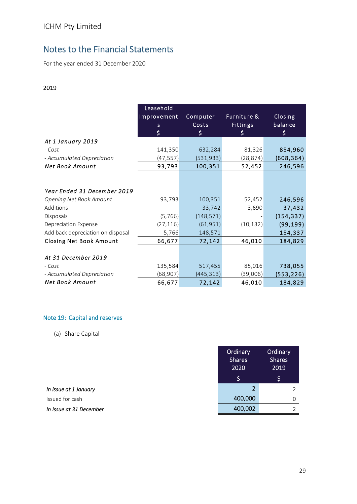For the year ended 31 December 2020

#### 2019

|                                   | Leasehold<br>Improvement<br>s.<br>\$ | Computer<br>Costs<br>\$. | Furniture &<br><b>Fittings</b><br>\$ | Closing<br>balance<br>\$ |
|-----------------------------------|--------------------------------------|--------------------------|--------------------------------------|--------------------------|
| At 1 January 2019                 |                                      |                          |                                      |                          |
| - Cost                            | 141,350                              | 632,284                  | 81,326                               | 854,960                  |
| - Accumulated Depreciation        | (47, 557)                            | (531, 933)               | (28,874)                             | (608, 364)               |
| <b>Net Book Amount</b>            | 93,793                               | 100,351                  | 52,452                               | 246,596                  |
|                                   |                                      |                          |                                      |                          |
| Year Ended 31 December 2019       |                                      |                          |                                      |                          |
| <b>Opening Net Book Amount</b>    | 93,793                               | 100,351                  | 52,452                               | 246,596                  |
| Additions                         |                                      | 33,742                   | 3,690                                | 37,432                   |
| Disposals                         | (5, 766)                             | (148, 571)               |                                      | (154, 337)               |
| Depreciation Expense              | (27, 116)                            | (61, 951)                | (10, 132)                            | (99, 199)                |
| Add back depreciation on disposal | 5,766                                | 148,571                  |                                      | 154,337                  |
| <b>Closing Net Book Amount</b>    | 66,677                               | 72,142                   | 46,010                               | 184,829                  |
| At 31 December 2019               |                                      |                          |                                      |                          |
| - Cost                            | 135,584                              | 517,455                  | 85,016                               | 738,055                  |
| - Accumulated Depreciation        | (68, 907)                            | (445, 313)               | (39,006)                             | (553, 226)               |
| Net Book Amount                   | 66,677                               | 72,142                   | 46,010                               | 184,829                  |

#### Note 19: Capital and reserves

(a) Share Capital

|                         | Ordinary<br><b>Shares</b><br>2020 | Ordinary<br><b>Shares</b><br>2019 |
|-------------------------|-----------------------------------|-----------------------------------|
|                         | \$                                | \$                                |
| In issue at 1 January   |                                   |                                   |
| Issued for cash         | 400,000                           | 0                                 |
| In Issue at 31 December | 400,002                           |                                   |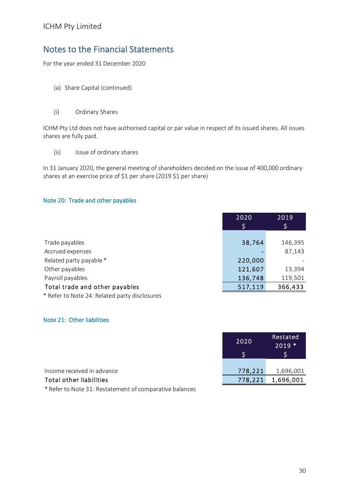For the year ended 31 December 2020

- (a) Share Capital (continued)
- (i) Ordinary Shares

ICHM Pty Ltd does not have authorised capital or par value in respect of its issued shares. All issues shares are fully paid.

(ii) Issue of ordinary shares

In 31 January 2020, the general meeting of shareholders decided on the issue of 400,000 ordinary shares at an exercise price of \$1 per share (2019 \$1 per share)

#### Note 20: Trade and other payables

| 2020    | 2019    |
|---------|---------|
| S       | \$      |
|         |         |
|         | 146,395 |
|         | 87,143  |
| 220,000 |         |
| 121,607 | 13,394  |
| 136,748 | 119,501 |
| 517,119 | 366,433 |
|         | 38,764  |

\* Refer to Note 24: Related party disclosures

#### Note 21: Other liabilities

|                            | 2020    | Restated<br>$2019*$ |
|----------------------------|---------|---------------------|
|                            |         |                     |
|                            |         |                     |
| Income received in advance | 778,221 | 1,696,001           |
| Total other liabilities    | 778,221 | 1,696,001           |

\* Refer to Note 31: Restatement of comparative balances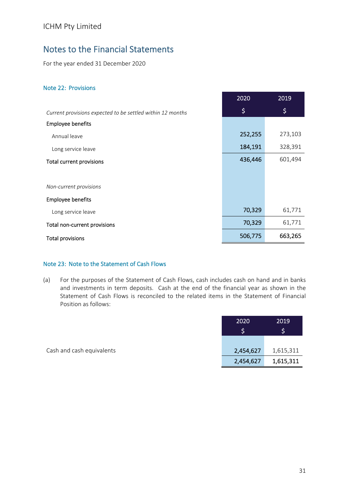For the year ended 31 December 2020

#### Note 22: Provisions

|                                                            | 2020    | 2019    |
|------------------------------------------------------------|---------|---------|
| Current provisions expected to be settled within 12 months | \$      | \$      |
| <b>Employee benefits</b>                                   |         |         |
| Annual leave                                               | 252,255 | 273,103 |
| Long service leave                                         | 184,191 | 328,391 |
| Total current provisions                                   | 436,446 | 601,494 |
|                                                            |         |         |
| Non-current provisions                                     |         |         |
| <b>Employee benefits</b>                                   |         |         |
| Long service leave                                         | 70,329  | 61,771  |
| Total non-current provisions                               | 70,329  | 61,771  |
| <b>Total provisions</b>                                    | 506,775 | 663,265 |

#### Note 23: Note to the Statement of Cash Flows

(a) For the purposes of the Statement of Cash Flows, cash includes cash on hand and in banks and investments in term deposits. Cash at the end of the financial year as shown in the Statement of Cash Flows is reconciled to the related items in the Statement of Financial Position as follows:

|                           | 2020      | 2019      |
|---------------------------|-----------|-----------|
|                           |           |           |
|                           |           |           |
| Cash and cash equivalents | 2,454,627 | 1,615,311 |
|                           | 2,454,627 | 1,615,311 |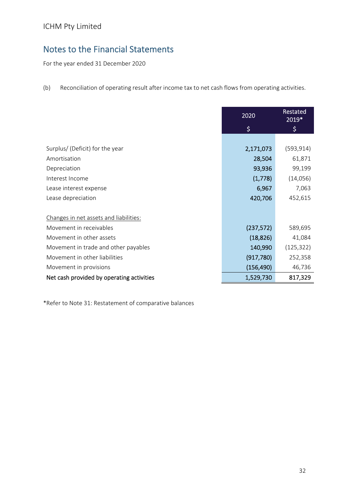For the year ended 31 December 2020

(b) Reconciliation of operating result after income tax to net cash flows from operating activities.

|                                           | 2020       | Restated<br>2019* |
|-------------------------------------------|------------|-------------------|
|                                           | $\zeta$    | \$                |
|                                           |            |                   |
| Surplus/ (Deficit) for the year           | 2,171,073  | (593, 914)        |
| Amortisation                              | 28,504     | 61,871            |
| Depreciation                              | 93,936     | 99,199            |
| Interest Income                           | (1,778)    | (14,056)          |
| Lease interest expense                    | 6,967      | 7,063             |
| Lease depreciation                        | 420,706    | 452,615           |
|                                           |            |                   |
| Changes in net assets and liabilities:    |            |                   |
| Movement in receivables                   | (237, 572) | 589,695           |
| Movement in other assets                  | (18, 826)  | 41,084            |
| Movement in trade and other payables      | 140,990    | (125, 322)        |
| Movement in other liabilities             | (917, 780) | 252,358           |
| Movement in provisions                    | (156, 490) | 46,736            |
| Net cash provided by operating activities | 1,529,730  | 817,329           |

\*Refer to Note 31: Restatement of comparative balances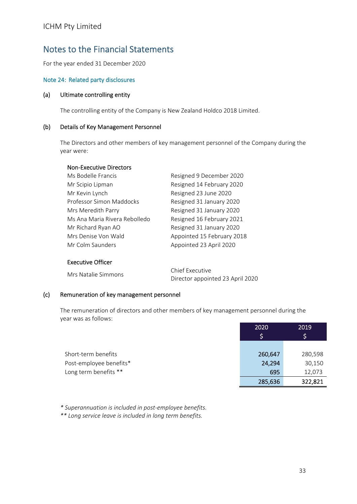For the year ended 31 December 2020

#### Note 24: Related party disclosures

#### (a) Ultimate controlling entity

The controlling entity of the Company is New Zealand Holdco 2018 Limited.

#### (b) Details of Key Management Personnel

The Directors and other members of key management personnel of the Company during the year were:

#### Non‐Executive Directors

| Ms Bodelle Francis            | Resigned 9 December 2020   |
|-------------------------------|----------------------------|
| Mr Scipio Lipman              | Resigned 14 February 2020  |
| Mr Kevin Lynch                | Resigned 23 June 2020      |
| Professor Simon Maddocks      | Resigned 31 January 2020   |
| Mrs Meredith Parry            | Resigned 31 January 2020   |
| Ms Ana Maria Rivera Rebolledo | Resigned 16 February 2021  |
| Mr Richard Ryan AO            | Resigned 31 January 2020   |
| Mrs Denise Von Wald           | Appointed 15 February 2018 |
| Mr Colm Saunders              | Appointed 23 April 2020    |
|                               |                            |

#### Executive Officer

Mrs Natalie Simmons Chief Executive Director appointed 23 April 2020

#### (c) Remuneration of key management personnel

The remuneration of directors and other members of key management personnel during the year was as follows: <sup>2020</sup> <sup>2019</sup>

|                         | ZUZU    | <b>SOTA</b> |
|-------------------------|---------|-------------|
|                         |         |             |
|                         |         |             |
| Short-term benefits     | 260,647 | 280,598     |
| Post-employee benefits* | 24,294  | 30,150      |
| Long term benefits **   | 695     | 12,073      |
|                         | 285,636 | 322,821     |

*\* Superannuation is included in post‐employee benefits.*

*\*\* Long service leave is included in long term benefits.*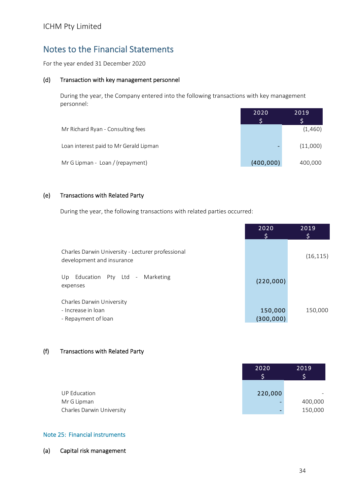For the year ended 31 December 2020

#### (d) Transaction with key management personnel

During the year, the Company entered into the following transactions with key management personnel:

|                                        | 2020      | 2019     |
|----------------------------------------|-----------|----------|
|                                        |           |          |
| Mr Richard Ryan - Consulting fees      |           | (1,460)  |
| Loan interest paid to Mr Gerald Lipman | -         | (11,000) |
| Mr G Lipman - Loan / (repayment)       | (400,000) | 400,000  |

#### (e) Transactions with Related Party

During the year, the following transactions with related parties occurred:

|                                                                                | 2020                  | 2019<br>\$ |
|--------------------------------------------------------------------------------|-----------------------|------------|
| Charles Darwin University - Lecturer professional<br>development and insurance |                       | (16, 115)  |
| Education<br>Pty Ltd -<br>Marketing<br>Up.<br>expenses                         | (220,000)             |            |
| Charles Darwin University<br>- Increase in loan<br>- Repayment of loan         | 150,000<br>(300, 000) | 150,000    |

#### (f) Transactions with Related Party

|                           | 2020    | 2019    |
|---------------------------|---------|---------|
|                           |         |         |
|                           |         |         |
| <b>UP Education</b>       | 220,000 |         |
| Mr G Lipman               |         | 400,000 |
| Charles Darwin University |         | 150,000 |

#### Note 25: Financial instruments

(a) Capital risk management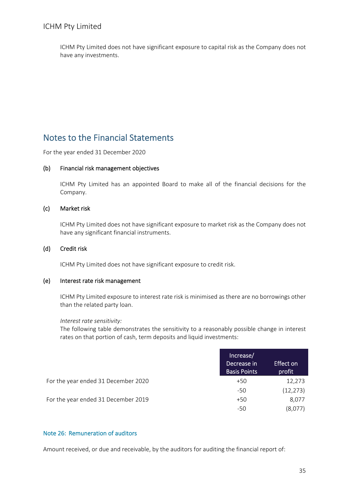ICHM Pty Limited does not have significant exposure to capital risk as the Company does not have any investments.

### Notes to the Financial Statements

For the year ended 31 December 2020

#### (b) Financial risk management objectives

ICHM Pty Limited has an appointed Board to make all of the financial decisions for the Company.

#### (c) Market risk

ICHM Pty Limited does not have significant exposure to market risk as the Company does not have any significant financial instruments.

#### (d) Credit risk

ICHM Pty Limited does not have significant exposure to credit risk.

#### (e) Interest rate risk management

ICHM Pty Limited exposure to interest rate risk is minimised as there are no borrowings other than the related party loan.

#### *Interest rate sensitivity:*

The following table demonstrates the sensitivity to a reasonably possible change in interest rates on that portion of cash, term deposits and liquid investments:

|                                     | Increase/<br>Decrease in<br><b>Basis Points</b> | <b>Effect on</b><br>profit |
|-------------------------------------|-------------------------------------------------|----------------------------|
| For the year ended 31 December 2020 | $+50$                                           | 12,273                     |
|                                     | -50                                             | (12, 273)                  |
| For the year ended 31 December 2019 | $+50$                                           | 8,077                      |
|                                     | -50                                             | (8.077)                    |

#### Note 26: Remuneration of auditors

Amount received, or due and receivable, by the auditors for auditing the financial report of: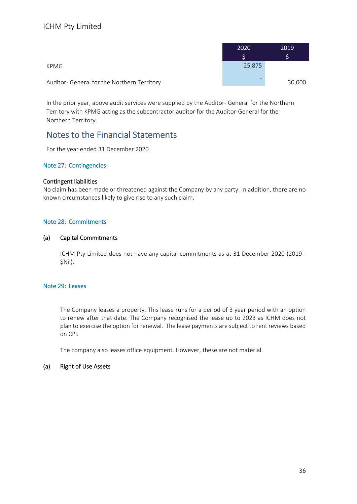|                                             | 2020   | 2019   |
|---------------------------------------------|--------|--------|
|                                             |        |        |
| KPMG                                        | 25,875 |        |
| Auditor- General for the Northern Territory |        | 30,000 |

In the prior year, above audit services were supplied by the Auditor‐ General for the Northern Territory with KPMG acting as the subcontractor auditor for the Auditor‐General for the Northern Territory.

### Notes to the Financial Statements

For the year ended 31 December 2020

#### Note 27: Contingencies

#### Contingent liabilities

No claim has been made or threatened against the Company by any party. In addition, there are no known circumstances likely to give rise to any such claim.

#### Note 28: Commitments

#### (a) Capital Commitments

ICHM Pty Limited does not have any capital commitments as at 31 December 2020 (2019 ‐ \$Nil).

#### Note 29: Leases

The Company leases a property. This lease runs for a period of 3 year period with an option to renew after that date. The Company recognised the lease up to 2023 as ICHM does not plan to exercise the option for renewal. The lease payments are subject to rent reviews based on CPI.

The company also leases office equipment. However, these are not material.

#### (a) Right of Use Assets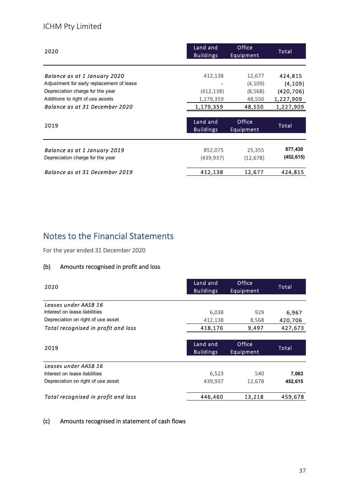### ICHM Pty Limited

| 2020                                      | Land and<br><b>Buildings</b> | Office<br>Equipment | Total      |
|-------------------------------------------|------------------------------|---------------------|------------|
|                                           |                              |                     |            |
| Balance as at 1 January 2020              | 412,138                      | 12,677              | 424,815    |
| Adjustment for early replacement of lease |                              | (4, 109)            | (4, 109)   |
| Depreciation charge for the year          | (412, 138)                   | (8,568)             | (420, 706) |
| Additions to right of use assets          | 1,179,359                    | 48,550              | 1,227,909  |
| Balance as at 31 December 2020            | 1,179,359                    | 48,550              | 1,227,909  |
|                                           |                              |                     |            |
| 2019                                      | Land and<br><b>Buildings</b> | Office<br>Equipment | Total      |
|                                           |                              |                     |            |
| Balance as at 1 January 2019              | 852,075                      | 25,355              | 877,430    |
| Depreciation charge for the year          | (439, 937)                   | (12, 678)           | (452, 615) |
| Balance as at 31 December 2019            | 412,138                      | 12,677              | 424,815    |

# Notes to the Financial Statements

For the year ended 31 December 2020

#### $(b)$ Amounts recognised in profit and loss

| 2020                                | Land and<br><b>Buildings</b> | Office<br>Equipment | Total   |
|-------------------------------------|------------------------------|---------------------|---------|
| Leases under AASB 16                |                              |                     |         |
| Interest on lease liabilities       | 6,038                        | 929                 | 6,967   |
| Depreciation on right of use asset  | 412,138                      | 8,568               | 420,706 |
| Total recognised in profit and loss | 418,176                      | 9,497               | 427,673 |
|                                     |                              |                     |         |
|                                     | Land and                     | Office              |         |
| 2019                                | <b>Buildings</b>             | Equipment           | Total   |
| Leases under AASB 16                |                              |                     |         |
| Interest on lease liabilities       | 6,523                        | 540                 | 7,063   |
| Depreciation on right of use asset  | 439,937                      | 12,678              | 452,615 |
| Total recognised in profit and loss | 446,460                      | 13,218              | 459,678 |

#### (c) Amounts recognised in statement of cash flows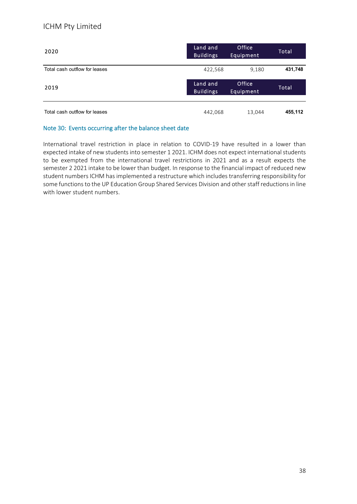#### ICHM Pty Limited

| 2020                          | Land and<br><b>Buildings</b> | Office<br>Equipment | Total   |
|-------------------------------|------------------------------|---------------------|---------|
| Total cash outflow for leases | 422,568                      | 9,180               | 431,748 |
| 2019                          | Land and<br><b>Buildings</b> | Office<br>Equipment | Total   |
| Total cash outflow for leases | 442,068                      | 13,044              | 455,112 |

#### Note 30: Events occurring after the balance sheet date

International travel restriction in place in relation to COVID‐19 have resulted in a lower than expected intake of new students into semester 1 2021. ICHM does not expect international students to be exempted from the international travel restrictions in 2021 and as a result expects the semester 2 2021 intake to be lower than budget. In response to the financial impact of reduced new student numbers ICHM has implemented a restructure which includes transferring responsibility for some functions to the UP Education Group Shared Services Division and other staff reductions in line with lower student numbers.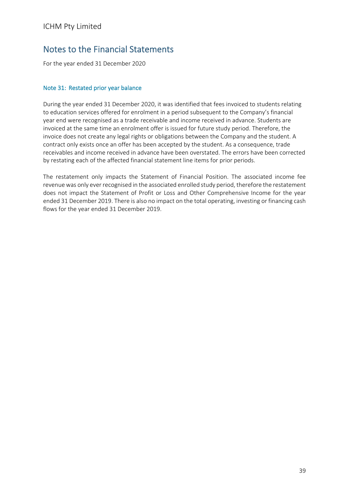For the year ended 31 December 2020

#### Note 31: Restated prior year balance

During the year ended 31 December 2020, it was identified that fees invoiced to students relating to education services offered for enrolment in a period subsequent to the Company's financial year end were recognised as a trade receivable and income received in advance. Students are invoiced at the same time an enrolment offer is issued for future study period. Therefore, the invoice does not create any legal rights or obligations between the Company and the student. A contract only exists once an offer has been accepted by the student. As a consequence, trade receivables and income received in advance have been overstated. The errors have been corrected by restating each of the affected financial statement line items for prior periods.

The restatement only impacts the Statement of Financial Position. The associated income fee revenue was only ever recognised in the associated enrolled study period, therefore the restatement does not impact the Statement of Profit or Loss and Other Comprehensive Income for the year ended 31 December 2019. There is also no impact on the total operating, investing or financing cash flows for the year ended 31 December 2019.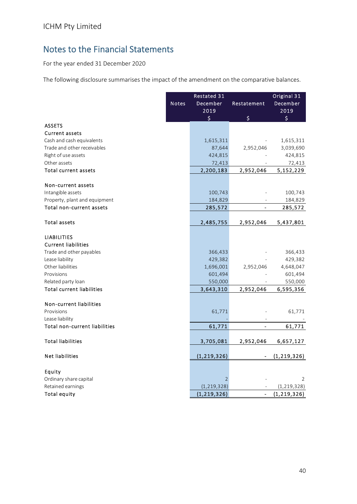For the year ended 31 December 2020

The following disclosure summarises the impact of the amendment on the comparative balances.

|                                  |              | Restated 31    |                          | Original 31   |
|----------------------------------|--------------|----------------|--------------------------|---------------|
|                                  | <b>Notes</b> | December       | Restatement              | December      |
|                                  |              | 2019           |                          | 2019          |
|                                  |              | \$             | \$                       | \$            |
| <b>ASSETS</b>                    |              |                |                          |               |
| <b>Current assets</b>            |              |                |                          |               |
| Cash and cash equivalents        |              | 1,615,311      |                          | 1,615,311     |
| Trade and other receivables      |              | 87,644         | 2,952,046                | 3,039,690     |
| Right of use assets              |              | 424,815        |                          | 424,815       |
| Other assets                     |              | 72,413         |                          | 72,413        |
| <b>Total current assets</b>      |              | 2,200,183      | 2,952,046                | 5,152,229     |
|                                  |              |                |                          |               |
| Non-current assets               |              |                |                          |               |
| Intangible assets                |              | 100,743        |                          | 100,743       |
| Property, plant and equipment    |              | 184,829        |                          | 184,829       |
| Total non-current assets         |              | 285,572        |                          | 285,572       |
|                                  |              |                |                          |               |
| Total assets                     |              | 2,485,755      | 2,952,046                | 5,437,801     |
| <b>LIABILITIES</b>               |              |                |                          |               |
| <b>Current liabilities</b>       |              |                |                          |               |
| Trade and other payables         |              | 366,433        |                          | 366,433       |
| Lease liability                  |              | 429,382        |                          | 429,382       |
| Other liabilities                |              | 1,696,001      | 2,952,046                | 4,648,047     |
| Provisions                       |              | 601,494        |                          | 601,494       |
| Related party loan               |              | 550,000        |                          | 550,000       |
| <b>Total current liabilities</b> |              | 3,643,310      | 2,952,046                | 6,595,356     |
|                                  |              |                |                          |               |
| Non-current liabilities          |              |                |                          |               |
| Provisions                       |              | 61,771         |                          | 61,771        |
| Lease liability                  |              |                |                          |               |
| Total non-current liabilities    |              | 61,771         | $\blacksquare$           | 61,771        |
|                                  |              |                |                          |               |
| <b>Total liabilities</b>         |              | 3,705,081      | 2,952,046                | 6,657,127     |
|                                  |              |                |                          |               |
| <b>Net liabilities</b>           |              | (1, 219, 326)  |                          | (1, 219, 326) |
| Equity                           |              |                |                          |               |
| Ordinary share capital           |              | $\overline{2}$ |                          | 2             |
| Retained earnings                |              | (1, 219, 328)  |                          | (1, 219, 328) |
| <b>Total equity</b>              |              | (1, 219, 326)  | $\overline{\phantom{0}}$ | (1, 219, 326) |